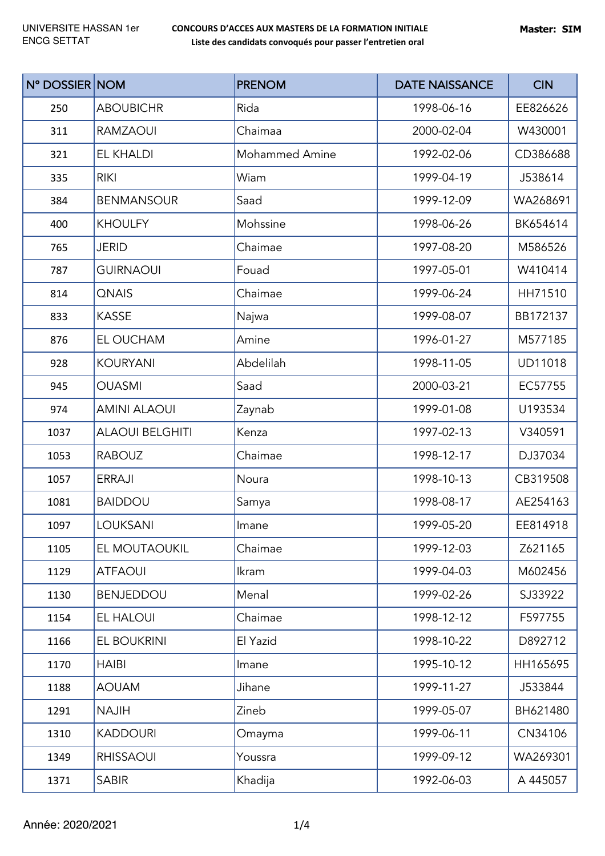| N° DOSSIER NOM |                        | <b>PRENOM</b>         | <b>DATE NAISSANCE</b> | <b>CIN</b>     |
|----------------|------------------------|-----------------------|-----------------------|----------------|
| 250            | <b>ABOUBICHR</b>       | Rida                  | 1998-06-16            | EE826626       |
| 311            | <b>RAMZAOUI</b>        | Chaimaa               | 2000-02-04            | W430001        |
| 321            | <b>EL KHALDI</b>       | <b>Mohammed Amine</b> | 1992-02-06            | CD386688       |
| 335            | <b>RIKI</b>            | Wiam                  | 1999-04-19            | J538614        |
| 384            | <b>BENMANSOUR</b>      | Saad                  | 1999-12-09            | WA268691       |
| 400            | <b>KHOULFY</b>         | Mohssine              | 1998-06-26            | BK654614       |
| 765            | <b>JERID</b>           | Chaimae               | 1997-08-20            | M586526        |
| 787            | <b>GUIRNAOUI</b>       | Fouad                 | 1997-05-01            | W410414        |
| 814            | <b>QNAIS</b>           | Chaimae               | 1999-06-24            | HH71510        |
| 833            | <b>KASSE</b>           | Najwa                 | 1999-08-07            | BB172137       |
| 876            | EL OUCHAM              | Amine                 | 1996-01-27            | M577185        |
| 928            | <b>KOURYANI</b>        | Abdelilah             | 1998-11-05            | <b>UD11018</b> |
| 945            | <b>OUASMI</b>          | Saad                  | 2000-03-21            | EC57755        |
| 974            | <b>AMINI ALAOUI</b>    | Zaynab                | 1999-01-08            | U193534        |
| 1037           | <b>ALAOUI BELGHITI</b> | Kenza                 | 1997-02-13            | V340591        |
| 1053           | <b>RABOUZ</b>          | Chaimae               | 1998-12-17            | DJ37034        |
| 1057           | <b>ERRAJI</b>          | Noura                 | 1998-10-13            | CB319508       |
| 1081           | <b>BAIDDOU</b>         | Samya                 | 1998-08-17            | AE254163       |
| 1097           | LOUKSANI               | Imane                 | 1999-05-20            | EE814918       |
| 1105           | EL MOUTAOUKIL          | Chaimae               | 1999-12-03            | Z621165        |
| 1129           | <b>ATFAOUI</b>         | Ikram                 | 1999-04-03            | M602456        |
| 1130           | <b>BENJEDDOU</b>       | Menal                 | 1999-02-26            | SJ33922        |
| 1154           | EL HALOUI              | Chaimae               | 1998-12-12            | F597755        |
| 1166           | <b>EL BOUKRINI</b>     | El Yazid              | 1998-10-22            | D892712        |
| 1170           | <b>HAIBI</b>           | Imane                 | 1995-10-12            | HH165695       |
| 1188           | <b>AOUAM</b>           | Jihane                | 1999-11-27            | J533844        |
| 1291           | <b>NAJIH</b>           | Zineb                 | 1999-05-07            | BH621480       |
| 1310           | <b>KADDOURI</b>        | Omayma                | 1999-06-11            | CN34106        |
| 1349           | <b>RHISSAOUI</b>       | Youssra               | 1999-09-12            | WA269301       |
| 1371           | <b>SABIR</b>           | Khadija               | 1992-06-03            | A 445057       |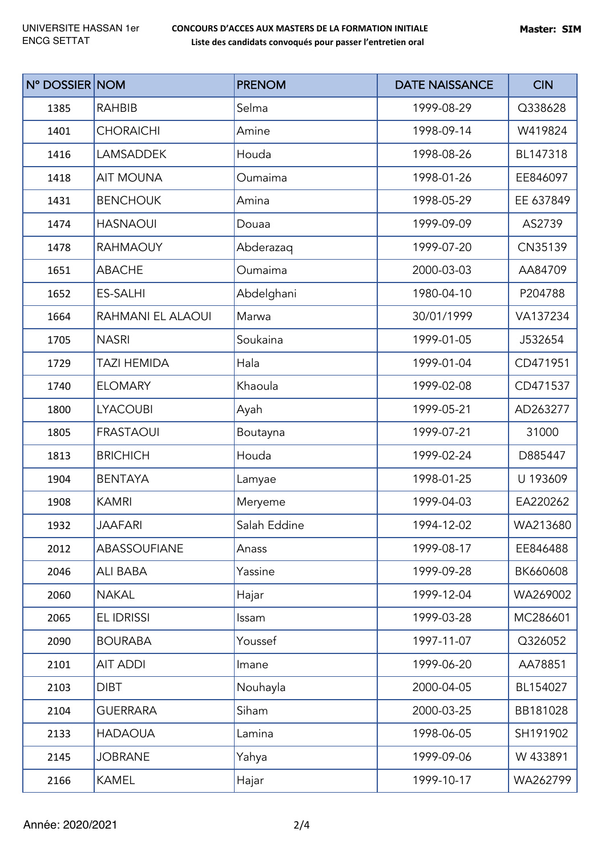| N° DOSSIER NOM |                    | <b>PRENOM</b> | <b>DATE NAISSANCE</b> | <b>CIN</b> |
|----------------|--------------------|---------------|-----------------------|------------|
| 1385           | <b>RAHBIB</b>      | Selma         | 1999-08-29            | Q338628    |
| 1401           | <b>CHORAICHI</b>   | Amine         | 1998-09-14            | W419824    |
| 1416           | <b>LAMSADDEK</b>   | Houda         | 1998-08-26            | BL147318   |
| 1418           | <b>AIT MOUNA</b>   | Oumaima       | 1998-01-26            | EE846097   |
| 1431           | <b>BENCHOUK</b>    | Amina         | 1998-05-29            | EE 637849  |
| 1474           | <b>HASNAOUI</b>    | Douaa         | 1999-09-09            | AS2739     |
| 1478           | <b>RAHMAOUY</b>    | Abderazaq     | 1999-07-20            | CN35139    |
| 1651           | <b>ABACHE</b>      | Oumaima       | 2000-03-03            | AA84709    |
| 1652           | <b>ES-SALHI</b>    | Abdelghani    | 1980-04-10            | P204788    |
| 1664           | RAHMANI EL ALAOUI  | Marwa         | 30/01/1999            | VA137234   |
| 1705           | <b>NASRI</b>       | Soukaina      | 1999-01-05            | J532654    |
| 1729           | <b>TAZI HEMIDA</b> | Hala          | 1999-01-04            | CD471951   |
| 1740           | <b>ELOMARY</b>     | Khaoula       | 1999-02-08            | CD471537   |
| 1800           | <b>LYACOUBI</b>    | Ayah          | 1999-05-21            | AD263277   |
| 1805           | <b>FRASTAOUI</b>   | Boutayna      | 1999-07-21            | 31000      |
| 1813           | <b>BRICHICH</b>    | Houda         | 1999-02-24            | D885447    |
| 1904           | <b>BENTAYA</b>     | Lamyae        | 1998-01-25            | U 193609   |
| 1908           | <b>KAMRI</b>       | Meryeme       | 1999-04-03            | EA220262   |
| 1932           | JAAFARI            | Salah Eddine  | 1994-12-02            | WA213680   |
| 2012           | ABASSOUFIANE       | Anass         | 1999-08-17            | EE846488   |
| 2046           | ALI BABA           | Yassine       | 1999-09-28            | BK660608   |
| 2060           | <b>NAKAL</b>       | Hajar         | 1999-12-04            | WA269002   |
| 2065           | EL IDRISSI         | Issam         | 1999-03-28            | MC286601   |
| 2090           | <b>BOURABA</b>     | Youssef       | 1997-11-07            | Q326052    |
| 2101           | <b>AIT ADDI</b>    | Imane         | 1999-06-20            | AA78851    |
| 2103           | <b>DIBT</b>        | Nouhayla      | 2000-04-05            | BL154027   |
| 2104           | <b>GUERRARA</b>    | Siham         | 2000-03-25            | BB181028   |
| 2133           | <b>HADAOUA</b>     | Lamina        | 1998-06-05            | SH191902   |
| 2145           | <b>JOBRANE</b>     | Yahya         | 1999-09-06            | W 433891   |
| 2166           | <b>KAMEL</b>       | Hajar         | 1999-10-17            | WA262799   |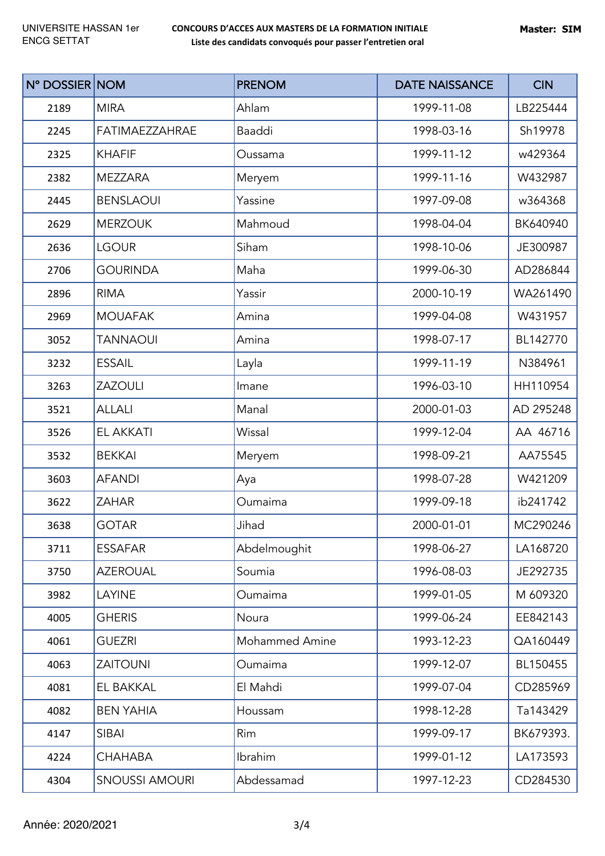| N° DOSSIER NOM |                       | <b>PRENOM</b>         | <b>DATE NAISSANCE</b> | <b>CIN</b> |
|----------------|-----------------------|-----------------------|-----------------------|------------|
| 2189           | <b>MIRA</b>           | Ahlam                 | 1999-11-08            | LB225444   |
| 2245           | <b>FATIMAEZZAHRAE</b> | Baaddi                | 1998-03-16            | Sh19978    |
| 2325           | <b>KHAFIF</b>         | Oussama               | 1999-11-12            | w429364    |
| 2382           | <b>MEZZARA</b>        | Meryem                | 1999-11-16            | W432987    |
| 2445           | <b>BENSLAOUI</b>      | Yassine               | 1997-09-08            | w364368    |
| 2629           | <b>MERZOUK</b>        | Mahmoud               | 1998-04-04            | BK640940   |
| 2636           | <b>LGOUR</b>          | Siham                 | 1998-10-06            | JE300987   |
| 2706           | <b>GOURINDA</b>       | Maha                  | 1999-06-30            | AD286844   |
| 2896           | <b>RIMA</b>           | Yassir                | 2000-10-19            | WA261490   |
| 2969           | <b>MOUAFAK</b>        | Amina                 | 1999-04-08            | W431957    |
| 3052           | <b>TANNAOUI</b>       | Amina                 | 1998-07-17            | BL142770   |
| 3232           | <b>ESSAIL</b>         | Layla                 | 1999-11-19            | N384961    |
| 3263           | <b>ZAZOULI</b>        | Imane                 | 1996-03-10            | HH110954   |
| 3521           | <b>ALLALI</b>         | Manal                 | 2000-01-03            | AD 295248  |
| 3526           | <b>EL AKKATI</b>      | Wissal                | 1999-12-04            | AA 46716   |
| 3532           | <b>BEKKAI</b>         | Meryem                | 1998-09-21            | AA75545    |
| 3603           | <b>AFANDI</b>         | Aya                   | 1998-07-28            | W421209    |
| 3622           | <b>ZAHAR</b>          | Oumaima               | 1999-09-18            | ib241742   |
| 3638           | <b>GOTAR</b>          | Jihad                 | 2000-01-01            | MC290246   |
| 3711           | <b>ESSAFAR</b>        | Abdelmoughit          | 1998-06-27            | LA168720   |
| 3750           | <b>AZEROUAL</b>       | Soumia                | 1996-08-03            | JE292735   |
| 3982           | LAYINE                | Oumaima               | 1999-01-05            | M 609320   |
| 4005           | <b>GHERIS</b>         | Noura                 | 1999-06-24            | EE842143   |
| 4061           | <b>GUEZRI</b>         | <b>Mohammed Amine</b> | 1993-12-23            | QA160449   |
| 4063           | <b>ZAITOUNI</b>       | Oumaima               | 1999-12-07            | BL150455   |
| 4081           | EL BAKKAL             | El Mahdi              | 1999-07-04            | CD285969   |
| 4082           | <b>BEN YAHIA</b>      | Houssam               | 1998-12-28            | Ta143429   |
| 4147           | <b>SIBAI</b>          | Rim                   | 1999-09-17            | BK679393.  |
| 4224           | <b>CHAHABA</b>        | Ibrahim               | 1999-01-12            | LA173593   |
| 4304           | <b>SNOUSSI AMOURI</b> | Abdessamad            | 1997-12-23            | CD284530   |